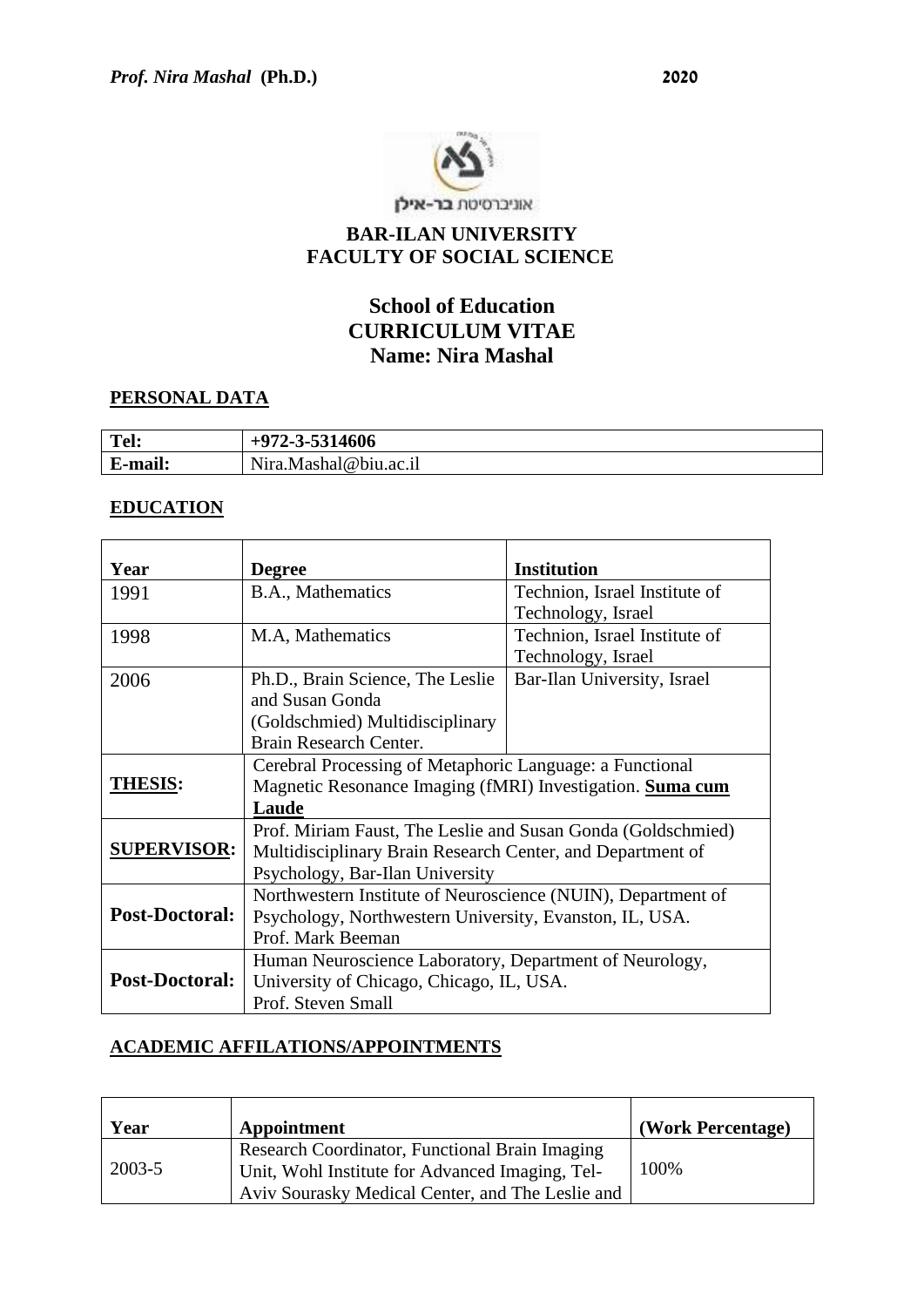

# **BAR-ILAN UNIVERSITY**

# **FACULTY OF SOCIAL SCIENCE**

## **School of Education CURRICULUM VITAE Name: Nira Mashal**

#### **PERSONAL DATA**

| Tel:      | 2-3-5314606                  |
|-----------|------------------------------|
| $\bullet$ | $N$ <sub>1</sub> ra $\ldots$ |
| E-mail:   | .Mashal@biu.ac.il            |

#### **EDUCATION**

| Year                                                                                                                                             | <b>Degree</b>                                                | <b>Institution</b>            |  |
|--------------------------------------------------------------------------------------------------------------------------------------------------|--------------------------------------------------------------|-------------------------------|--|
| 1991                                                                                                                                             | B.A., Mathematics                                            | Technion, Israel Institute of |  |
|                                                                                                                                                  |                                                              | Technology, Israel            |  |
| 1998                                                                                                                                             | M.A, Mathematics                                             | Technion, Israel Institute of |  |
|                                                                                                                                                  |                                                              | Technology, Israel            |  |
| 2006                                                                                                                                             | Ph.D., Brain Science, The Leslie                             | Bar-Ilan University, Israel   |  |
|                                                                                                                                                  | and Susan Gonda                                              |                               |  |
|                                                                                                                                                  | (Goldschmied) Multidisciplinary                              |                               |  |
|                                                                                                                                                  | Brain Research Center.                                       |                               |  |
|                                                                                                                                                  | Cerebral Processing of Metaphoric Language: a Functional     |                               |  |
| <b>THESIS:</b>                                                                                                                                   | Magnetic Resonance Imaging (fMRI) Investigation. Suma cum    |                               |  |
|                                                                                                                                                  | Laude                                                        |                               |  |
|                                                                                                                                                  | Prof. Miriam Faust, The Leslie and Susan Gonda (Goldschmied) |                               |  |
| <b>SUPERVISOR:</b><br>Multidisciplinary Brain Research Center, and Department of                                                                 |                                                              |                               |  |
|                                                                                                                                                  | Psychology, Bar-Ilan University                              |                               |  |
| Northwestern Institute of Neuroscience (NUIN), Department of<br><b>Post-Doctoral:</b><br>Psychology, Northwestern University, Evanston, IL, USA. |                                                              |                               |  |
|                                                                                                                                                  |                                                              |                               |  |
|                                                                                                                                                  | Prof. Mark Beeman                                            |                               |  |
|                                                                                                                                                  | Human Neuroscience Laboratory, Department of Neurology,      |                               |  |
| <b>Post-Doctoral:</b><br>University of Chicago, Chicago, IL, USA.                                                                                |                                                              |                               |  |
|                                                                                                                                                  | Prof. Steven Small                                           |                               |  |

#### **ACADEMIC AFFILATIONS/APPOINTMENTS**

| Year   | Appointment                                                                                                                                           | (Work Percentage) |
|--------|-------------------------------------------------------------------------------------------------------------------------------------------------------|-------------------|
| 2003-5 | Research Coordinator, Functional Brain Imaging<br>Unit, Wohl Institute for Advanced Imaging, Tel-<br>Aviv Sourasky Medical Center, and The Leslie and | 100%              |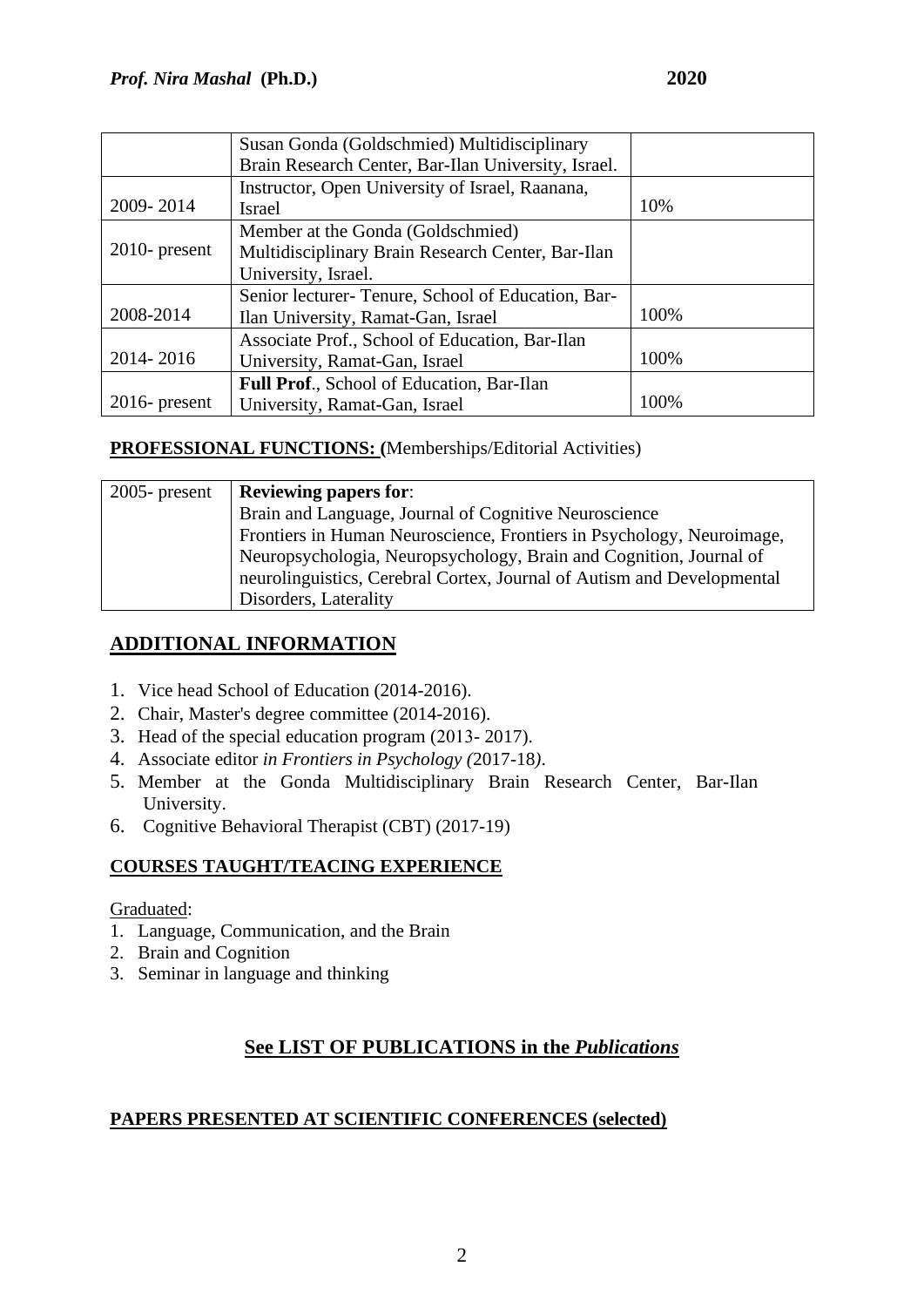|                  | Susan Gonda (Goldschmied) Multidisciplinary         |      |
|------------------|-----------------------------------------------------|------|
|                  | Brain Research Center, Bar-Ilan University, Israel. |      |
|                  | Instructor, Open University of Israel, Raanana,     |      |
| 2009-2014        | Israel                                              | 10%  |
|                  | Member at the Gonda (Goldschmied)                   |      |
| $2010$ - present | Multidisciplinary Brain Research Center, Bar-Ilan   |      |
|                  | University, Israel.                                 |      |
|                  | Senior lecturer-Tenure, School of Education, Bar-   |      |
| 2008-2014        | Ilan University, Ramat-Gan, Israel                  | 100% |
|                  | Associate Prof., School of Education, Bar-Ilan      |      |
| 2014-2016        | University, Ramat-Gan, Israel                       | 100% |
|                  | Full Prof., School of Education, Bar-Ilan           |      |
| $2016$ - present | University, Ramat-Gan, Israel                       | 100% |

#### **PROFESSIONAL FUNCTIONS: (**Memberships/Editorial Activities)

| $2005$ - present | <b>Reviewing papers for:</b>                                           |
|------------------|------------------------------------------------------------------------|
|                  | Brain and Language, Journal of Cognitive Neuroscience                  |
|                  | Frontiers in Human Neuroscience, Frontiers in Psychology, Neuroimage,  |
|                  | Neuropsychologia, Neuropsychology, Brain and Cognition, Journal of     |
|                  | neurolinguistics, Cerebral Cortex, Journal of Autism and Developmental |
|                  | Disorders, Laterality                                                  |

### **ADDITIONAL INFORMATION**

- 1. Vice head School of Education (2014-2016).
- 2. Chair, Master's degree committee (2014-2016).
- 3. Head of the special education program (2013- 2017).
- 4. Associate editor *in Frontiers in Psychology (*2017-18*)*.
- 5. Member at the Gonda Multidisciplinary Brain Research Center, Bar-Ilan University.
- 6. Cognitive Behavioral Therapist (CBT) (2017-19)

#### **COURSES TAUGHT/TEACING EXPERIENCE**

Graduated:

- 1. Language, Communication, and the Brain
- 2. Brain and Cognition
- 3. Seminar in language and thinking

# **See LIST OF PUBLICATIONS in the** *Publications*

#### **PAPERS PRESENTED AT SCIENTIFIC CONFERENCES (selected)**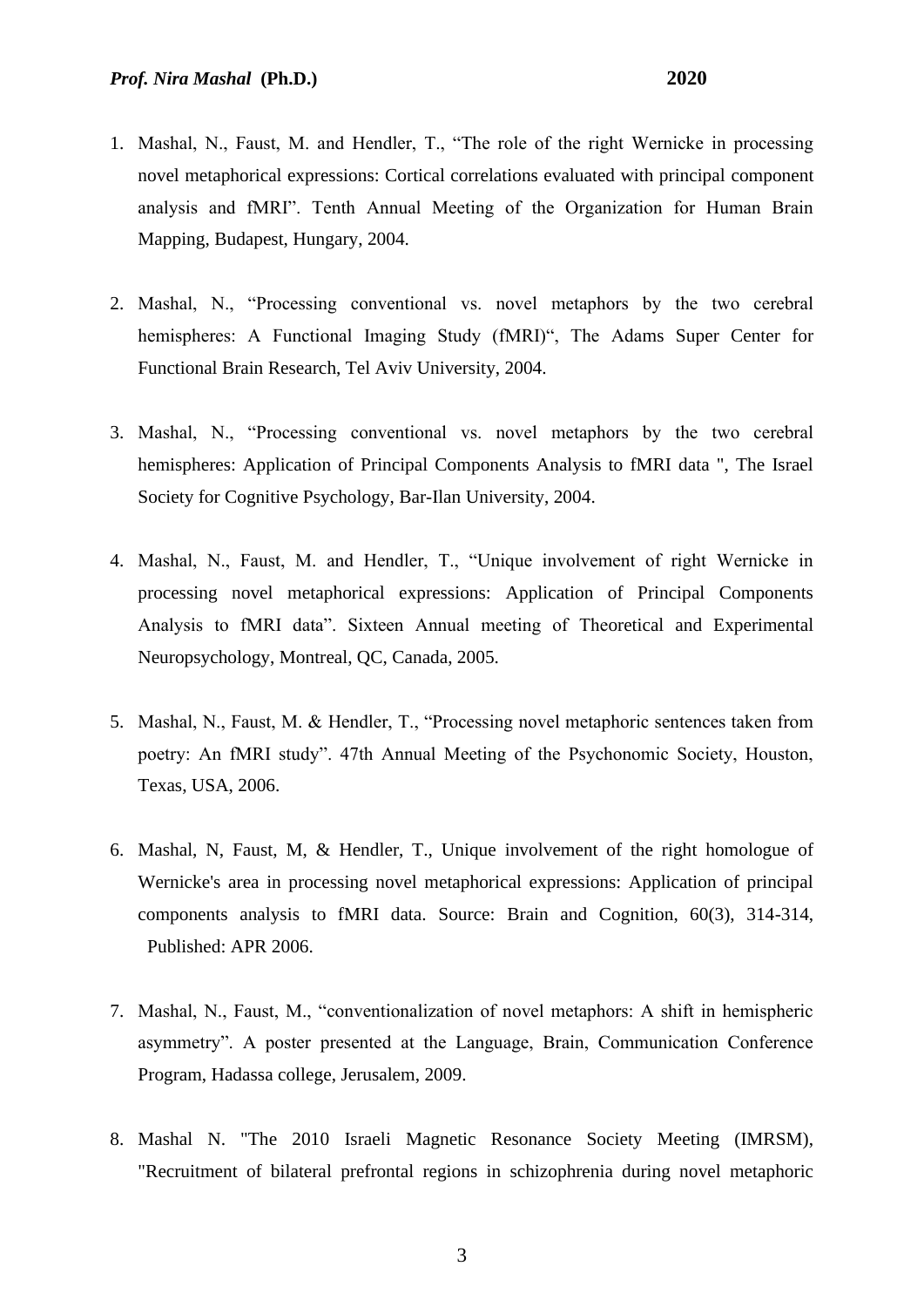- 1. Mashal, N., Faust, M. and Hendler, T., "The role of the right Wernicke in processing novel metaphorical expressions: Cortical correlations evaluated with principal component analysis and fMRI". Tenth Annual Meeting of the Organization for Human Brain Mapping, Budapest, Hungary, 2004.
- 2. Mashal, N., "Processing conventional vs. novel metaphors by the two cerebral hemispheres: A Functional Imaging Study (fMRI)", The Adams Super Center for Functional Brain Research, Tel Aviv University, 2004.
- 3. Mashal, N., "Processing conventional vs. novel metaphors by the two cerebral hemispheres: Application of Principal Components Analysis to fMRI data ", The Israel Society for Cognitive Psychology, Bar-Ilan University, 2004.
- 4. Mashal, N., Faust, M. and Hendler, T., "Unique involvement of right Wernicke in processing novel metaphorical expressions: Application of Principal Components Analysis to fMRI data". Sixteen Annual meeting of Theoretical and Experimental Neuropsychology, Montreal, QC, Canada, 2005.
- 5. Mashal, N., Faust, M. & Hendler, T., "Processing novel metaphoric sentences taken from poetry: An fMRI study". 47th Annual Meeting of the Psychonomic Society, Houston, Texas, USA, 2006.
- 6. Mashal, N, Faust, M, & Hendler, T., Unique involvement of the right homologue of Wernicke's area in processing novel metaphorical expressions: Application of principal components analysis to fMRI data. Source: Brain and Cognition, 60(3), 314-314, Published: APR 2006.
- 7. Mashal, N., Faust, M., "conventionalization of novel metaphors: A shift in hemispheric asymmetry". A poster presented at the Language, Brain, Communication Conference Program, Hadassa college, Jerusalem, 2009.
- 8. Mashal N. "The 2010 Israeli Magnetic Resonance Society Meeting (IMRSM), "Recruitment of bilateral prefrontal regions in schizophrenia during novel metaphoric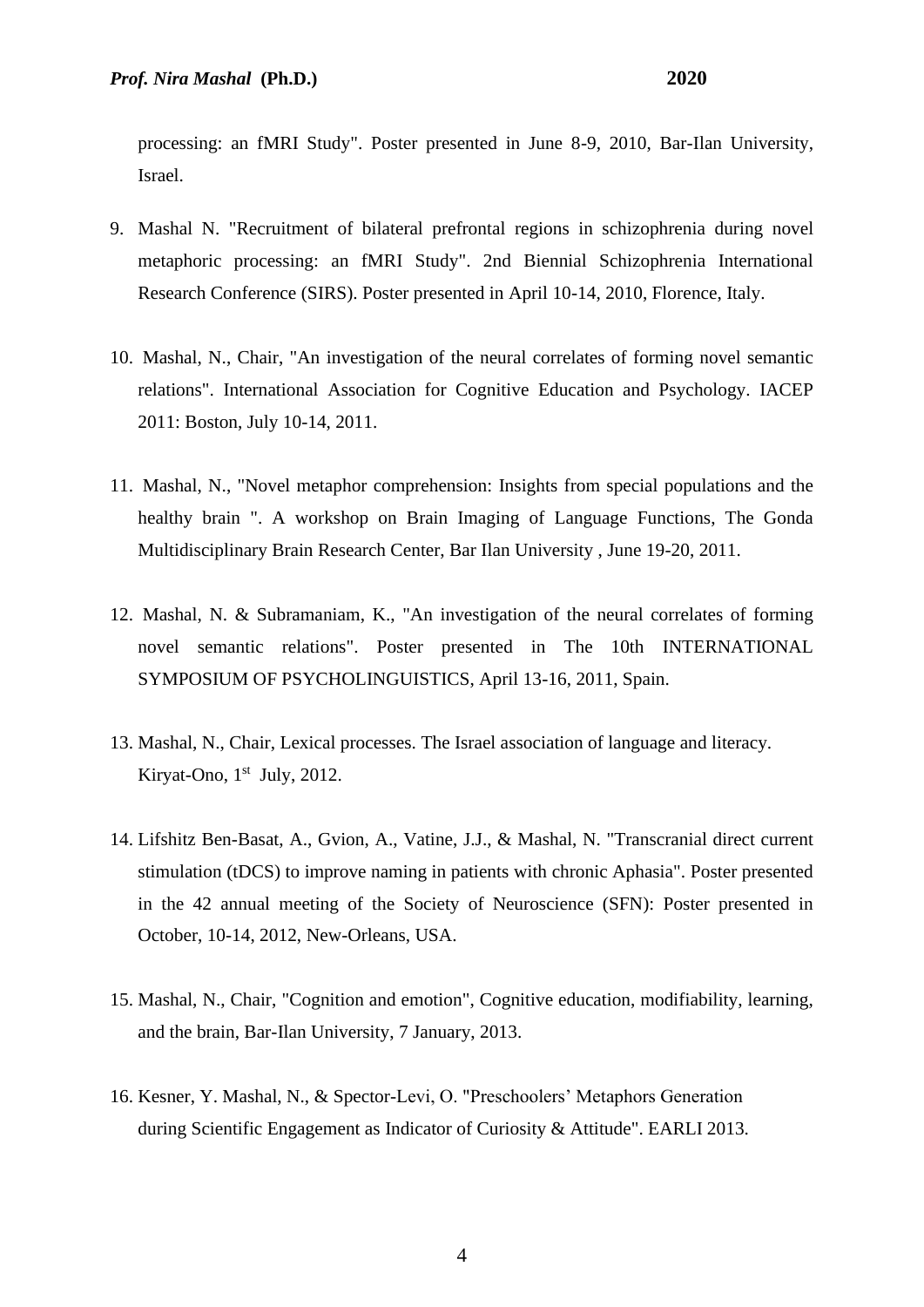processing: an fMRI Study". Poster presented in June 8-9, 2010, Bar-Ilan University, Israel.

- 9. Mashal N. "Recruitment of bilateral prefrontal regions in schizophrenia during novel metaphoric processing: an fMRI Study". 2nd Biennial Schizophrenia International Research Conference (SIRS). Poster presented in April 10-14, 2010, Florence, Italy.
- 10. Mashal, N., Chair, "An investigation of the neural correlates of forming novel semantic relations". International Association for Cognitive Education and Psychology. IACEP 2011: Boston, July 10-14, 2011.
- 11. Mashal, N., "Novel metaphor comprehension: Insights from special populations and the healthy brain ". A workshop on Brain Imaging of Language Functions, The Gonda Multidisciplinary Brain Research Center, Bar Ilan University , June 19-20, 2011.
- 12. Mashal, N. & Subramaniam, K., "An investigation of the neural correlates of forming novel semantic relations". Poster presented in The 10th INTERNATIONAL SYMPOSIUM OF PSYCHOLINGUISTICS, April 13-16, 2011, Spain.
- 13. Mashal, N., Chair, Lexical processes. The Israel association of language and literacy. Kiryat-Ono, 1<sup>st</sup> July, 2012.
- 14. Lifshitz Ben-Basat, A., Gvion, A., Vatine, J.J., & Mashal, N. "Transcranial direct current stimulation (tDCS) to improve naming in patients with chronic Aphasia". Poster presented in the 42 annual meeting of the Society of Neuroscience (SFN): Poster presented in October, 10-14, 2012, New-Orleans, USA.
- 15. Mashal, N., Chair, "Cognition and emotion", Cognitive education, modifiability, learning, and the brain, Bar-Ilan University, 7 January, 2013.
- 16. Kesner, Y. Mashal, N., & Spector-Levi, O. "Preschoolers' Metaphors Generation during Scientific Engagement as Indicator of Curiosity & Attitude". EARLI 2013.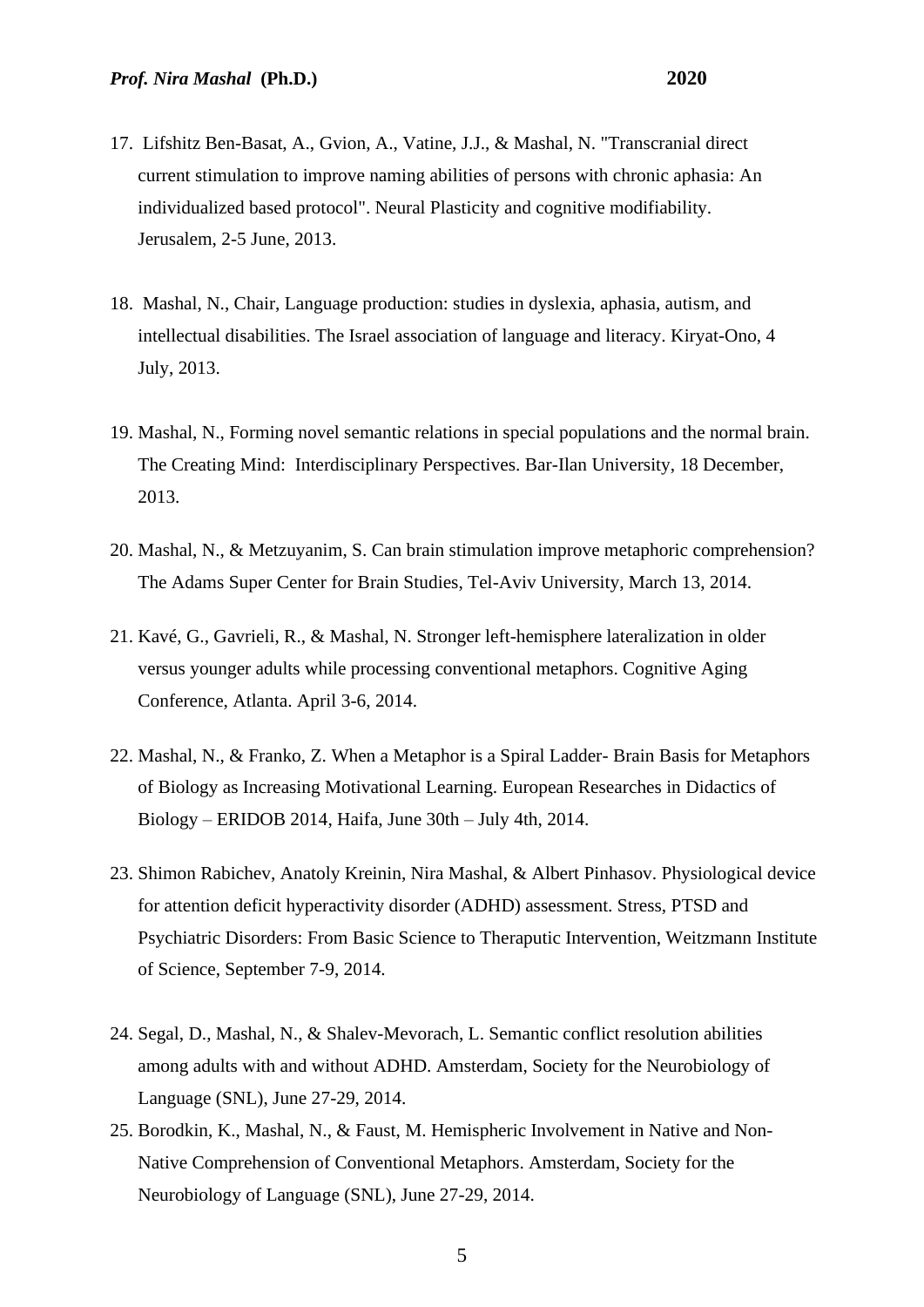- 17. Lifshitz Ben-Basat, A., Gvion, A., Vatine, J.J., & Mashal, N. "Transcranial direct current stimulation to improve naming abilities of persons with chronic aphasia: An individualized based protocol". Neural Plasticity and cognitive modifiability. Jerusalem, 2-5 June, 2013.
- 18. Mashal, N., Chair, Language production: studies in dyslexia, aphasia, autism, and intellectual disabilities. The Israel association of language and literacy. Kiryat-Ono, 4 July, 2013.
- 19. Mashal, N., Forming novel semantic relations in special populations and the normal brain. The Creating Mind: Interdisciplinary Perspectives. Bar-Ilan University, 18 December, 2013.
- 20. Mashal, N., & Metzuyanim, S. Can brain stimulation improve metaphoric comprehension? The Adams Super Center for Brain Studies, Tel-Aviv University, March 13, 2014.
- 21. Kavé, G., Gavrieli, R., & Mashal, N. Stronger left-hemisphere lateralization in older versus younger adults while processing conventional metaphors. Cognitive Aging Conference, Atlanta. April 3-6, 2014.
- 22. Mashal, N., & Franko, Z. When a Metaphor is a Spiral Ladder- Brain Basis for Metaphors of Biology as Increasing Motivational Learning. European Researches in Didactics of Biology – ERIDOB 2014, Haifa, June 30th – July 4th, 2014.
- 23. Shimon Rabichev, Anatoly Kreinin, Nira Mashal, & Albert Pinhasov. Physiological device for attention deficit hyperactivity disorder (ADHD) assessment. Stress, PTSD and Psychiatric Disorders: From Basic Science to Theraputic Intervention, Weitzmann Institute of Science, September 7-9, 2014.
- 24. Segal, D., Mashal, N., & Shalev-Mevorach, L. Semantic conflict resolution abilities among adults with and without ADHD. Amsterdam, Society for the Neurobiology of Language (SNL), June 27-29, 2014.
- 25. Borodkin, K., Mashal, N., & Faust, M. Hemispheric Involvement in Native and Non-Native Comprehension of Conventional Metaphors. Amsterdam, Society for the Neurobiology of Language (SNL), June 27-29, 2014.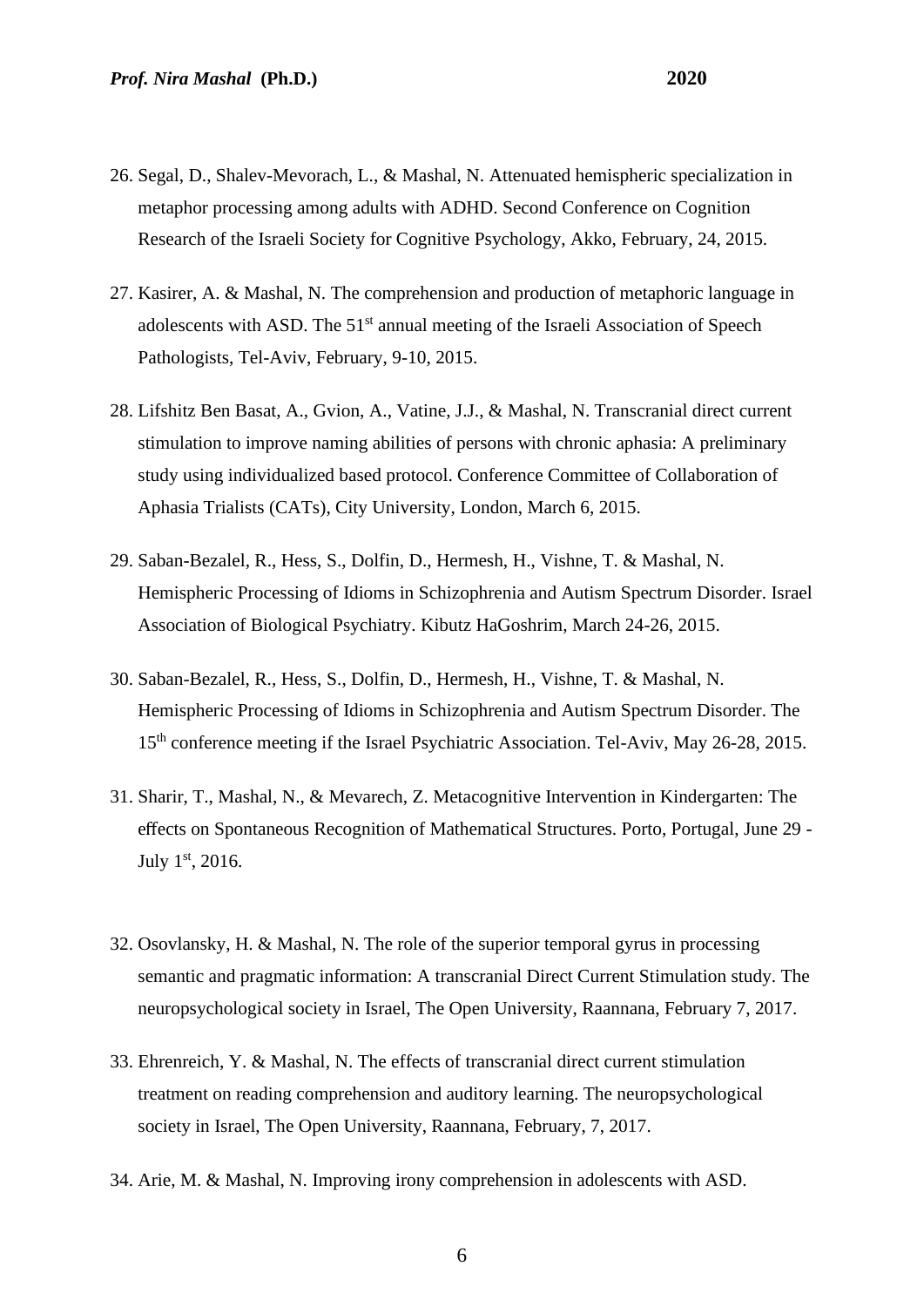- 26. Segal, D., Shalev-Mevorach, L., & Mashal, N. Attenuated hemispheric specialization in metaphor processing among adults with ADHD. Second Conference on Cognition Research of the Israeli Society for Cognitive Psychology, Akko, February, 24, 2015.
- 27. Kasirer, A. & Mashal, N. The comprehension and production of metaphoric language in adolescents with ASD. The 51<sup>st</sup> annual meeting of the Israeli Association of Speech Pathologists, Tel-Aviv, February, 9-10, 2015.
- 28. Lifshitz Ben Basat, A., Gvion, A., Vatine, J.J., & Mashal, N. Transcranial direct current stimulation to improve naming abilities of persons with chronic aphasia: A preliminary study using individualized based protocol. Conference Committee of Collaboration of Aphasia Trialists (CATs), City University, London, March 6, 2015.
- 29. Saban-Bezalel, R., Hess, S., Dolfin, D., Hermesh, H., Vishne, T. & Mashal, N. Hemispheric Processing of Idioms in Schizophrenia and Autism Spectrum Disorder. Israel Association of Biological Psychiatry. Kibutz HaGoshrim, March 24-26, 2015.
- 30. Saban-Bezalel, R., Hess, S., Dolfin, D., Hermesh, H., Vishne, T. & Mashal, N. Hemispheric Processing of Idioms in Schizophrenia and Autism Spectrum Disorder. The 15th conference meeting if the Israel Psychiatric Association. Tel-Aviv, May 26-28, 2015.
- 31. Sharir, T., Mashal, N., & Mevarech, Z. Metacognitive Intervention in Kindergarten: The effects on Spontaneous Recognition of Mathematical Structures. Porto, Portugal, June 29 - July 1st, 2016.
- 32. Osovlansky, H. & Mashal, N. The role of the superior temporal gyrus in processing semantic and pragmatic information: A transcranial Direct Current Stimulation study. The neuropsychological society in Israel, The Open University, Raannana, February 7, 2017.
- 33. Ehrenreich, Y. & Mashal, N. The effects of transcranial direct current stimulation treatment on reading comprehension and auditory learning. The neuropsychological society in Israel, The Open University, Raannana, February, 7, 2017.
- 34. Arie, M. & Mashal, N. Improving irony comprehension in adolescents with ASD.